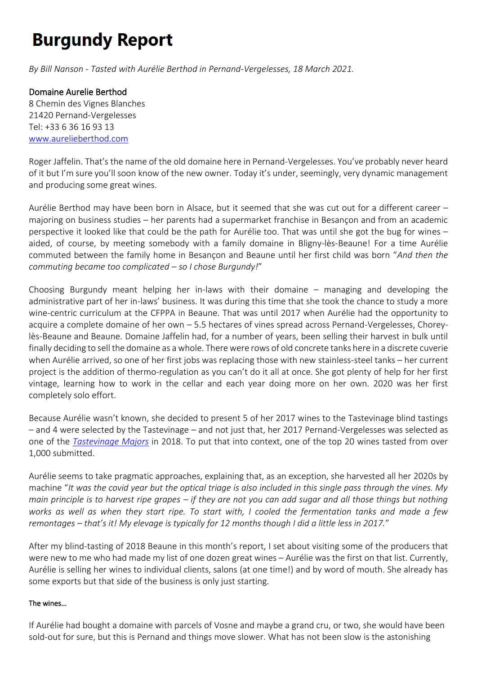# **Burgundy Report**

*By Bill Nanson - Tasted with Aurélie Berthod in Pernand-Vergelesses, 18 March 2021.*

### Domaine Aurelie Berthod

8 Chemin des Vignes Blanches 21420 Pernand-Vergelesses Tel: +33 6 36 16 93 13 [www.aurelieberthod.com](https://www.aurelieberthod.com/)

Roger Jaffelin. That's the name of the old domaine here in Pernand-Vergelesses. You've probably never heard of it but I'm sure you'll soon know of the new owner. Today it's under, seemingly, very dynamic management and producing some great wines.

Aurélie Berthod may have been born in Alsace, but it seemed that she was cut out for a different career – majoring on business studies – her parents had a supermarket franchise in Besançon and from an academic perspective it looked like that could be the path for Aurélie too. That was until she got the bug for wines – aided, of course, by meeting somebody with a family domaine in Bligny-lès-Beaune! For a time Aurélie commuted between the family home in Besançon and Beaune until her first child was born "*And then the commuting became too complicated – so I chose Burgundy!*"

Choosing Burgundy meant helping her in-laws with their domaine – managing and developing the administrative part of her in-laws' business. It was during this time that she took the chance to study a more wine-centric curriculum at the CFPPA in Beaune. That was until 2017 when Aurélie had the opportunity to acquire a complete domaine of her own – 5.5 hectares of vines spread across Pernand-Vergelesses, Choreylès-Beaune and Beaune. Domaine Jaffelin had, for a number of years, been selling their harvest in bulk until finally deciding to sell the domaine as a whole. There were rows of old concrete tanks here in a discrete cuverie when Aurélie arrived, so one of her first jobs was replacing those with new stainless-steel tanks – her current project is the addition of thermo-regulation as you can't do it all at once. She got plenty of help for her first vintage, learning how to work in the cellar and each year doing more on her own. 2020 was her first completely solo effort.

Because Aurélie wasn't known, she decided to present 5 of her 2017 wines to the Tastevinage blind tastings – and 4 were selected by the Tastevinage – and not just that, her 2017 Pernand-Vergelesses was selected as one of the *[Tastevinage Majors](https://www.burgundy-report.com/2018/11/the-tastevinage-majors-of-2018/)* in 2018. To put that into context, one of the top 20 wines tasted from over 1,000 submitted.

Aurélie seems to take pragmatic approaches, explaining that, as an exception, she harvested all her 2020s by machine "*It was the covid year but the optical triage is also included in this single pass through the vines. My main principle is to harvest ripe grapes – if they are not you can add sugar and all those things but nothing works as well as when they start ripe. To start with, I cooled the fermentation tanks and made a few remontages – that's it! My elevage is typically for 12 months though I did a little less in 2017.*"

After my blind-tasting of 2018 Beaune in this month's report, I set about visiting some of the producers that were new to me who had made my list of one dozen great wines – Aurélie was the first on that list. Currently, Aurélie is selling her wines to individual clients, salons (at one time!) and by word of mouth. She already has some exports but that side of the business is only just starting.

#### The wines…

If Aurélie had bought a domaine with parcels of Vosne and maybe a grand cru, or two, she would have been sold-out for sure, but this is Pernand and things move slower. What has not been slow is the astonishing